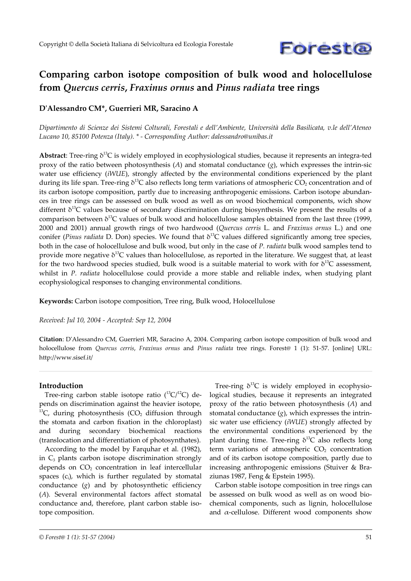

# **Comparing carbon isotope composition of bulk wood and holocellulose from** *Quercus cerris***,** *Fraxinus ornus* **and** *Pinus radiata* **tree rings**

## **D'Alessandro CM\*, Guerrieri MR, Saracino A**

*Dipartimento di Scienze dei Sistemi Colturali, Forestali e dell'Ambiente, Università della Basilicata, v.le dell'Ateneo Lucano 10, 85100 Potenza (Italy). \* - Corresponding Author: dalessandro@unibas.it*

Abstract: Tree-ring δ<sup>13</sup>C is widely employed in ecophysiological studies, because it represents an integra-ted proxy of the ratio between photosynthesis  $(A)$  and stomatal conductance  $(g)$ , which expresses the intrin-sic water use efficiency (*iWUE*), strongly affected by the environmental conditions experienced by the plant during its life span. Tree-ring  $\delta^{13}C$  also reflects long term variations of atmospheric CO<sub>2</sub> concentration and of its carbon isotope composition, partly due to increasing anthropogenic emissions. Carbon isotope abundances in tree rings can be assessed on bulk wood as well as on wood biochemical components, wich show different  $\delta^{13}$ C values because of secondary discrimination during biosynthesis. We present the results of a comparison between  $\delta^{13}$ C values of bulk wood and holocellulose samples obtained from the last three (1999, 2000 and 2001) annual growth rings of two hardwood (*Quercus cerris* L. and *Fraxinus ornus* L.) and one conifer (*Pinus radiata* D. Don) species. We found that  $\delta^{13}C$  values differed significantly among tree species, both in the case of holocellulose and bulk wood, but only in the case of *P. radiata* bulk wood samples tend to provide more negative δ <sup>13</sup>C values than holocellulose, as reported in the literature*.* We suggest that, at least for the two hardwood species studied, bulk wood is a suitable material to work with for  $\delta^{13}C$  assessment, whilst in *P. radiata* holocellulose could provide a more stable and reliable index, when studying plant ecophysiological responses to changing environmental conditions.

**Keywords:** Carbon isotope composition, Tree ring, Bulk wood, Holocellulose

*Received: Jul 10, 2004 - Accepted: Sep 12, 2004*

**Citation**: D'Alessandro CM, Guerrieri MR, Saracino A, 2004. Comparing carbon isotope composition of bulk wood and holocellulose from *Quercus cerris*, *Fraxinus ornus* and *Pinus radiata* tree rings. Forest@ 1 (1): 51-57. [online] URL: http://www.sisef.it/

### **Introduction**

Tree-ring carbon stable isotope ratio  $(^{13}C/^{12}C)$  depends on discrimination against the heavier isotope, <sup>13</sup>C, during photosynthesis  $(CO<sub>2</sub>$  diffusion through the stomata and carbon fixation in the chloroplast) and during secondary biochemical reactions (translocation and differentiation of photosynthates).

According to the model by Farquhar et al*.* (1982), in  $C_3$  plants carbon isotope discrimination strongly depends on  $CO<sub>2</sub>$  concentration in leaf intercellular spaces  $(c_i)$ , which is further regulated by stomatal conductance (*g*) and by photosynthetic efficiency (*A*)*.* Several environmental factors affect stomatal conductance and, therefore, plant carbon stable isotope composition.

Tree-ring  $\delta^{13}C$  is widely employed in ecophysiological studies, because it represents an integrated proxy of the ratio between photosynthesis (*A*) and stomatal conductance  $(g)$ , which expresses the intrinsic water use efficiency (*iWUE*) strongly affected by the environmental conditions experienced by the plant during time. Tree-ring  $\delta^{13}C$  also reflects long term variations of atmospheric  $CO<sub>2</sub>$  concentration and of its carbon isotope composition, partly due to increasing anthropogenic emissions (Stuiver & Braziunas 1987, Feng & Epstein 1995).

Carbon stable isotope composition in tree rings can be assessed on bulk wood as well as on wood biochemical components, such as lignin, holocellulose and  $\alpha$ -cellulose. Different wood components show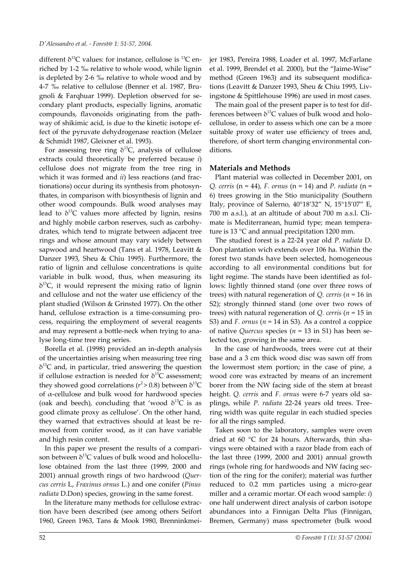different  $\delta^{13}C$  values: for instance, cellulose is  $^{13}C$  enriched by 1-2 ‰ relative to whole wood, while lignin is depleted by 2-6 ‰ relative to whole wood and by 4-7 ‰ relative to cellulose (Benner et al. 1987, Brugnoli & Farqhuar 1999). Depletion observed for secondary plant products, especially lignins, aromatic compounds, flavonoids originating from the pathway of shikimic acid, is due to the kinetic isotope effect of the pyruvate dehydrogenase reaction (Melzer & Schmidt 1987, Gleixner et al. 1993).

For assessing tree ring  $\delta^{13}C$ , analysis of cellulose extracts could theoretically be preferred because *i*) cellulose does not migrate from the tree ring in which it was formed and *ii*) less reactions (and fractionations) occur during its synthesis from photosynthates, in comparison with biosynthesis of lignin and other wood compounds. Bulk wood analyses may lead to  $\delta^{13}$ C values more affected by lignin, resins and highly mobile carbon reserves, such as carbohydrates, which tend to migrate between adjacent tree rings and whose amount may vary widely between sapwood and heartwood (Tans et al. 1978, Leavitt & Danzer 1993, Sheu & Chiu 1995). Furthermore, the ratio of lignin and cellulose concentrations is quite variable in bulk wood, thus, when measuring its  $\delta^{13}$ C, it would represent the mixing ratio of lignin and cellulose and not the water use efficiency of the plant studied (Wilson & Grinsted 1977). On the other hand, cellulose extraction is a time-consuming process, requiring the employment of several reagents and may represent a bottle-neck when trying to analyse long-time tree ring series.

Borella et al. (1998) provided an in-depth analysis of the uncertainties arising when measuring tree ring  $\delta^{13}$ C and, in particular, tried answering the question if cellulose extraction is needed for  $\delta^{13}C$  assessment; they showed good correlations ( $r^2$  > 0.8) between  $\delta^{13}$ C of α-cellulose and bulk wood for hardwood species (oak and beech), concluding that 'wood  $\delta^{13}C$  is as good climate proxy as cellulose'. On the other hand, they warned that extractives should at least be removed from conifer wood, as it can have variable and high resin content.

In this paper we present the results of a comparison between  $\delta^{13}$ C values of bulk wood and holocellulose obtained from the last three (1999, 2000 and 2001) annual growth rings of two hardwood (*Quercus cerris* L, *Fraxinus ornus* L.) and one conifer (*Pinus radiata* D.Don) species, growing in the same forest.

In the literature many methods for cellulose extraction have been described (see among others Seifort 1960, Green 1963, Tans & Mook 1980, Brenninkmeijer 1983, Pereira 1988, Loader et al. 1997, McFarlane et al. 1999, Brendel et al. 2000), but the "Jaime-Wise" method (Green 1963) and its subsequent modifications (Leavitt & Danzer 1993, Sheu & Chiu 1995, Livingstone & Spittlehouse 1996) are used in most cases.

The main goal of the present paper is to test for differences between  $\delta^{13}$ C values of bulk wood and holocellulose, in order to assess which one can be a more suitable proxy of water use efficiency of trees and, therefore, of short term changing environmental conditions.

### **Materials and Methods**

Plant material was collected in December 2001, on *Q. cerris* (n = 44)*, F. ornus* (n = 14) and *P. radiata* (n = 6) trees growing in the Stio municipality (Southern Italy, province of Salerno, 40°18'32" N, 15°15'07" E, 700 m a.s.l.), at an altitude of about 700 m a.s.l. Climate is Mediterranean, humid type; mean temperature is 13 °C and annual precipitation 1200 mm.

The studied forest is a 22-24 year old *P. radiata* D. Don plantation wich extends over 106 ha. Within the forest two stands have been selected, homogeneous according to all environmental conditions but for light regime. The stands have been identified as follows: lightly thinned stand (one over three rows of trees) with natural regeneration of *Q. cerris* (*n* = 16 in S2); strongly thinned stand (one over two rows of trees) with natural regeneration of *Q. cerris* (*n* = 15 in S3) and *F. ornus* (*n* = 14 in S3). As a control a coppice of native *Quercus* species (*n* = 13 in S1) has been selected too, growing in the same area.

In the case of hardwoods, trees were cut at their base and a 3 cm thick wood disc was sawn off from the lowermost stem portion; in the case of pine, a wood core was extracted by means of an increment borer from the NW facing side of the stem at breast height. *Q. cerris* and *F. ornus* were 6-7 years old saplings, while *P. radiata* 22-24 years old trees. Treering width was quite regular in each studied species for all the rings sampled.

Taken soon to the laboratory, samples were oven dried at 60 °C for 24 hours. Afterwards, thin shavings were obtained with a razor blade from each of the last three (1999, 2000 and 2001) annual growth rings (whole ring for hardwoods and NW facing section of the ring for the conifer); material was further reduced to 0.2 mm particles using a micro-gear miller and a ceramic mortar. Of each wood sample: *i*) one half underwent direct analysis of carbon isotope abundances into a Finnigan Delta Plus (Finnigan, Bremen, Germany) mass spectrometer (bulk wood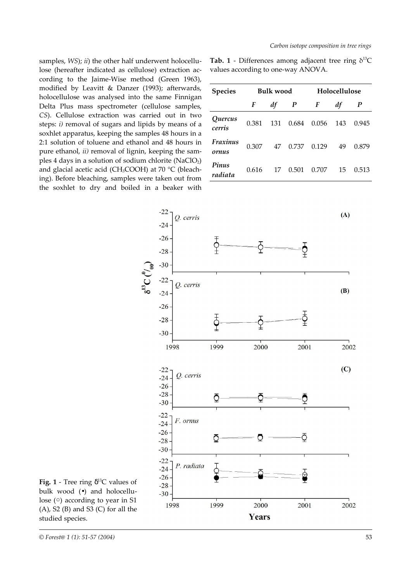samples, *WS*); *ii*) the other half underwent holocellulose (hereafter indicated as cellulose) extraction according to the Jaime-Wise method (Green 1963), modified by Leavitt & Danzer (1993); afterwards, holocellulose was analysed into the same Finnigan Delta Plus mass spectrometer (cellulose samples, *CS*). Cellulose extraction was carried out in two steps: *i)* removal of sugars and lipids by means of a soxhlet apparatus, keeping the samples 48 hours in a 2:1 solution of toluene and ethanol and 48 hours in pure ethanol, *ii)* removal of lignin, keeping the samples 4 days in a solution of sodium chlorite  $(NaClO<sub>2</sub>)$ and glacial acetic acid (CH<sub>3</sub>COOH) at 70 °C (bleaching). Before bleaching, samples were taken out from the soxhlet to dry and boiled in a beaker with

**Tab. 1** - Differences among adjacent tree ring  $\delta^{13}$ C values according to one-way ANOVA.

| <b>Species</b>          | <b>Bulk wood</b> |     |       | Holocellulose |     |       |
|-------------------------|------------------|-----|-------|---------------|-----|-------|
|                         | F                | df  | P     | F             | df  | P     |
| Quercus<br>cerris       | 0.381            | 131 | 0.684 | 0.056         | 143 | 0.945 |
| Fraxinus<br>ornus       | 0.307            | 47  | 0.737 | 0.129         | 49  | 0.879 |
| <b>Pinus</b><br>radiata | 0.616            | 17  | 0.501 | 0.707         | 15  | 0.513 |



**Fig.** 1 - Tree ring  $\delta^{13}$ C values of bulk wood (•) and holocellulose (○) according to year in S1  $(A)$ , S2 $(B)$  and S3 $(C)$  for all the studied species.

*<sup>©</sup> Forest@ 1 (1): 51-57 (2004)* 53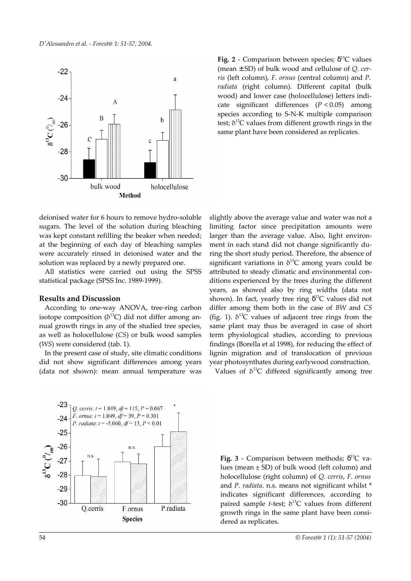

Fig. 2 - Comparison between species;  $\delta^{13}$ C values (mean ± SD) of bulk wood and cellulose of *Q. cerris* (left column), *F. ornus* (central column) and *P. radiata* (right column). Different capital (bulk wood) and lower case (holocellulose) letters indicate significant differences (*P* < 0.05) among species according to S-N-K multiple comparison test;  $\delta^{13}$ C values from different growth rings in the same plant have been considered as replicates.

deionised water for 6 hours to remove hydro-soluble sugars. The level of the solution during bleaching was kept constant refilling the beaker when needed; at the beginning of each day of bleaching samples were accurately rinsed in deionised water and the solution was replaced by a newly prepared one.

All statistics were carried out using the SPSS statistical package (SPSS Inc. 1989-1999).

## **Results and Discussion**

According to one-way ANOVA, tree-ring carbon isotope composition ( $\delta^{13}$ C) did not differ among annual growth rings in any of the studied tree species, as well as holocellulose (*CS*) or bulk wood samples (*WS*) were considered (tab. 1).

In the present case of study, site climatic conditions did not show significant differences among years (data not shown): mean annual temperature was slightly above the average value and water was not a limiting factor since precipitation amounts were larger than the average value. Also, light environment in each stand did not change significantly during the short study period. Therefore, the absence of significant variations in  $\delta^{13}$ C among years could be attributed to steady climatic and environmental conditions experienced by the trees during the different years, as showed also by ring widths (data not shown). In fact, yearly tree ring  $\delta^{13}C$  values did not differ among them both in the case of *BW* and *CS* (fig. 1).  $\delta^{13}$ C values of adjacent tree rings from the same plant may thus be averaged in case of short term physiological studies, according to previous findings (Borella et al 1998), for reducing the effect of lignin migration and of translocation of previous year photosynthates during earlywood construction.

Values of  $\delta^{13}C$  differed significantly among tree



**Fig. 3** - Comparison between methods;  $\delta^{13}$ C values (mean ± SD) of bulk wood (left column) and holocellulose (right column) of *Q. cerris*, *F. ornus* and *P. radiata*. n.s. means not significant whilst \* indicates significant differences, according to paired sample *t*-test; δ <sup>13</sup>C values from different growth rings in the same plant have been considered as replicates.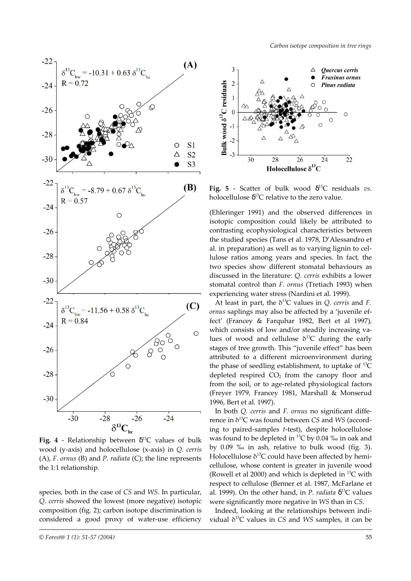

**Fig. 4** - Relationship between δ <sup>13</sup>C values of bulk wood (y-axis) and holocellulose (x-axis) in *Q. cerris* (A), *F. ornus* (B) and *P. radiata* (C); the line represents the 1:1 relationship.

species, both in the case of *CS* and *WS*. In particular, *Q. cerris* showed the lowest (more negative) isotopic composition (fig. 2); carbon isotope discrimination is considered a good proxy of water-use efficiency



**Fig. 5** - Scatter of bulk wood δ <sup>13</sup>C residuals *vs*. holocellulose  $\delta^{13}$ C relative to the zero value.

(Ehleringer 1991) and the observed differences in isotopic composition could likely be attributed to contrasting ecophysiological characteristics between the studied species (Tans et al. 1978, D'Alessandro et al. in preparation) as well as to varying lignin to cellulose ratios among years and species. In fact, the two species show different stomatal behaviours as discussed in the literature: *Q. cerris* exhibits a lower stomatal control than *F. ornus* (Tretiach 1993) when experiencing water stress (Nardini et al. 1999).

At least in part, the δ <sup>13</sup>C values in *Q. cerris* and *F. ornus* saplings may also be affected by a 'juvenile effect' (Francey & Farquhar 1982, Bert et al 1997), which consists of low and/or steadily increasing values of wood and cellulose  $\delta^{13}$ C during the early stages of tree growth. This "juvenile effect" has been attributed to a different microenvironment during the phase of seedling establishment, to uptake of  $^{13}C$ depleted respired  $CO<sub>2</sub>$  from the canopy floor and from the soil, or to age-related physiological factors (Freyer 1979, Francey 1981, Marshall & Monserud 1996, Bert et al. 1997).

In both *Q. cerris* and *F. ornus* no significant difference in δ <sup>13</sup>C was found between *CS* and *WS* (according to paired-samples *t*-test), despite holocellulose was found to be depleted in  $^{13}$ C by 0.04 ‰ in oak and by 0.09 ‰ in ash, relative to bulk wood (fig. 3). Holocellulose  $\delta^{13}C$  could have been affected by hemicellulose, whose content is greater in juvenile wood (Rowell et al 2000) and which is depleted in  $^{13}$ C with respect to cellulose (Benner et al. 1987, McFarlane et al. 1999). On the other hand, in *P. radiata* δ <sup>13</sup>C values were significantly more negative in *WS* than in *CS*.

Indeed, looking at the relationships between individual δ <sup>13</sup>C values in *CS* and *WS* samples, it can be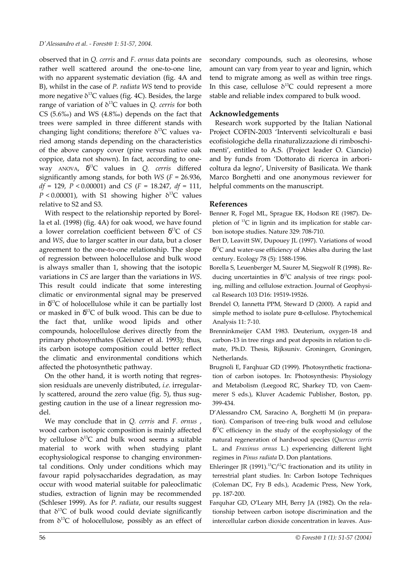observed that in *Q. cerris* and *F. ornus* data points are rather well scattered around the one-to-one line, with no apparent systematic deviation (fig. 4A and B), whilst in the case of *P. radiata WS* tend to provide more negative  $\delta^{13}C$  values (fig. 4C). Besides, the large range of variation of δ <sup>13</sup>C values in *Q. cerris* for both CS (5.6‰) and WS (4.8‰) depends on the fact that trees were sampled in three different stands with changing light conditions; therefore  $\delta^{13}$ C values varied among stands depending on the characteristics of the above canopy cover (pine versus native oak coppice, data not shown). In fact, according to oneway ANOVA, δ <sup>13</sup>C values in *Q. cerris* differed significantly among stands, for both *WS* (*F* = 26.936, *df* = 129, *P* < 0.00001) and *CS* (*F* = 18.247, *df* = 111,  $P < 0.00001$ ), with S1 showing higher  $\delta^{13}C$  values relative to S2 and S3.

With respect to the relationship reported by Borella et al. (1998) (fig. 4A) for oak wood, we have found a lower correlation coefficient between δ <sup>13</sup>C of *CS* and *WS*, due to larger scatter in our data, but a closer agreement to the one-to-one relationship. The slope of regression between holocellulose and bulk wood is always smaller than 1, showing that the isotopic variations in *CS* are larger than the variations in *WS*. This result could indicate that some interesting climatic or environmental signal may be preserved in  $\delta^{13}$ C of holocellulose while it can be partially lost or masked in  $\delta^{13}C$  of bulk wood. This can be due to the fact that, unlike wood lipids and other compounds, holocellulose derives directly from the primary photosynthates (Gleixner et al. 1993); thus, its carbon isotope composition could better reflect the climatic and environmental conditions which affected the photosynthetic pathway.

On the other hand, it is worth noting that regression residuals are unevenly distributed, *i.e.* irregularly scattered, around the zero value (fig. 5), thus suggesting caution in the use of a linear regression model.

We may conclude that in *Q. cerris* and *F. ornus* , wood carbon isotopic composition is mainly affected by cellulose  $\delta^{13}C$  and bulk wood seems a suitable material to work with when studying plant ecophysiological response to changing environmental conditions. Only under conditions which may favour rapid polysaccharides degradation, as may occur with wood material suitable for paleoclimatic studies, extraction of lignin may be recommended (Schleser 1999). As for *P. radiata*, our results suggest that  $\delta^{13}$ C of bulk wood could deviate significantly from  $\delta^{13}$ C of holocellulose, possibly as an effect of

secondary compounds, such as oleoresins, whose amount can vary from year to year and lignin, which tend to migrate among as well as within tree rings. In this case, cellulose  $\delta^{13}$ C could represent a more stable and reliable index compared to bulk wood.

#### **Acknowledgements**

Research work supported by the Italian National Project COFIN-2003 'Interventi selvicolturali e basi ecofisiologiche della rinaturalizzazione di rimboschimenti', entitled to A.S. (Project leader O. Ciancio) and by funds from 'Dottorato di ricerca in arboricoltura da legno', University of Basilicata. We thank Marco Borghetti and one anonymous reviewer for helpful comments on the manuscript.

#### **References**

Benner R, Fogel ML, Sprague EK, Hodson RE (1987). Depletion of  $^{13}$ C in lignin and its implication for stable carbon isotope studies. Nature 329: 708-710.

- Bert D, Leavitt SW, Dupouey JL (1997). Variations of wood  $\delta^{13}$ C and water-use efficiency of Abies alba during the last century. Ecology 78 (5): 1588-1596.
- Borella S, Leuenberger M, Saurer M, Siegwolf R (1998). Reducing uncertainties in  $\delta^{13}$ C analysis of tree rings: pooling, milling and cellulose extraction. Journal of Geophysical Research 103 D16: 19519-19526.
- Brendel O, Iannetta PPM, Steward D (2000). A rapid and simple method to isolate pure α-cellulose. Phytochemical Analysis 11: 7-10.
- Brenninkmeijer CAM 1983. Deuterium, oxygen-18 and carbon-13 in tree rings and peat deposits in relation to climate, Ph.D. Thesis, Rijksuniv. Groningen, Groningen, Netherlands.
- Brugnoli E, Farqhuar GD (1999). Photosynthetic fractionation of carbon isotopes. In: Photosynthesis: Physiology and Metabolism (Leegood RC, Sharkey TD, von Caemmerer S eds.), Kluver Academic Publisher, Boston, pp. 399-434.
- D'Alessandro CM, Saracino A, Borghetti M (in preparation). Comparison of tree-ring bulk wood and cellulose  $\delta^{13}$ C efficiency in the study of the ecophysiology of the natural regeneration of hardwood species (*Quercus cerris* L. and *Fraxinus ornus* L.) experiencing different light regimes in *Pinus radiata* D. Don plantations.
- Ehleringer JR (1991).<sup>13</sup>C/<sup>12</sup>C fractionation and its utility in terrestrial plant studies. In: Carbon Isotope Techniques (Coleman DC, Fry B eds.), Academic Press, New York, pp. 187-200.
- Farquhar GD, O'Leary MH, Berry JA (1982). On the relationship between carbon isotope discrimination and the intercellular carbon dioxide concentration in leaves. Aus-